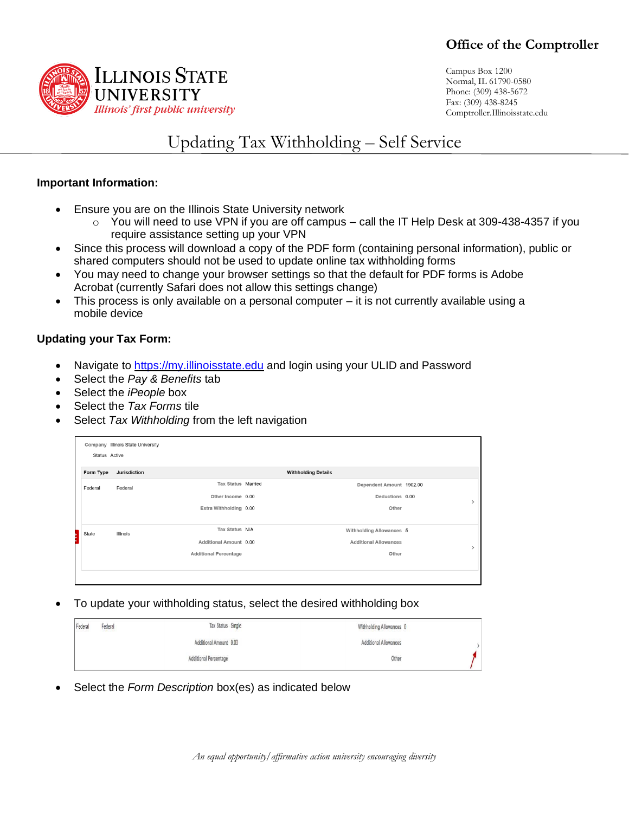

Campus Box 1200 Normal, IL 61790-0580 Phone: (309) 438-5672 Fax: (309) 438-8245 Comptroller.Illinoisstate.edu

## Updating Tax Withholding – Self Service

## **Important Information:**

- Ensure you are on the Illinois State University network
	- $\circ$  You will need to use VPN if you are off campus call the IT Help Desk at 309-438-4357 if you require assistance setting up your VPN
- Since this process will download a copy of the PDF form (containing personal information), public or shared computers should not be used to update online tax withholding forms
- You may need to change your browser settings so that the default for PDF forms is Adobe Acrobat (currently Safari does not allow this settings change)
- This process is only available on a personal computer it is not currently available using a mobile device

## **Updating your Tax Form:**

- Navigate to [https://my.illinoisstate.edu](https://my.illinoisstate.edu/) and login using your ULID and Password
- Select the *Pay & Benefits* tab
- Select the *iPeople* box
- Select the *Tax Forms* tile
- Select *Tax Withholding* from the left navigation

| Status Active | Company Illinois State University |                              |                              |  |
|---------------|-----------------------------------|------------------------------|------------------------------|--|
| Form Type     | Jurisdiction                      |                              | <b>Withholding Details</b>   |  |
| Federal       | Federal                           | <b>Tax Status Married</b>    | Dependent Amount 1902.00     |  |
|               |                                   | Other Income 0.00            | Deductions 0.00              |  |
|               |                                   | Extra Withholding 0.00       | Other                        |  |
|               |                                   |                              |                              |  |
| State         | Illinois                          | Tax Status N/A               | Withholding Allowances 5     |  |
|               |                                   | Additional Amount 0.00       | <b>Additional Allowances</b> |  |
|               |                                   | <b>Additional Percentage</b> | Other                        |  |
|               |                                   |                              |                              |  |
|               |                                   |                              |                              |  |

• To update your withholding status, select the desired withholding box

| Federal | Federal | Tax Status Single            | Withholding Allowances 0 |  |
|---------|---------|------------------------------|--------------------------|--|
|         |         | Additional Amount 0.00       | Additional Allowances    |  |
|         |         | <b>Additional Percentage</b> | Other                    |  |

• Select the *Form Description* box(es) as indicated below